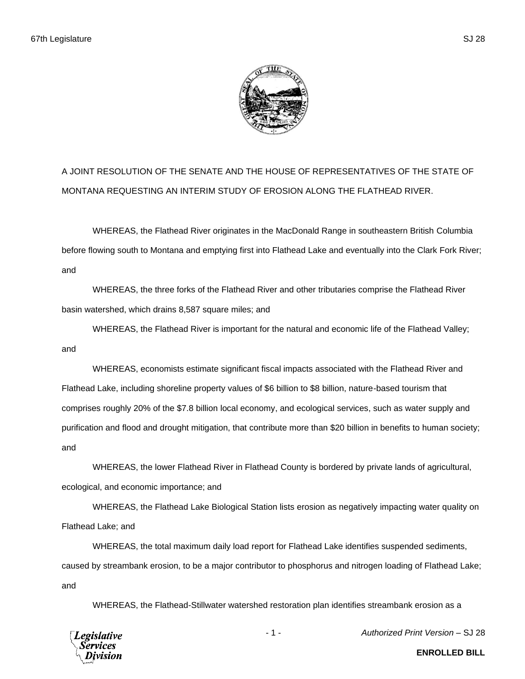

A JOINT RESOLUTION OF THE SENATE AND THE HOUSE OF REPRESENTATIVES OF THE STATE OF MONTANA REQUESTING AN INTERIM STUDY OF EROSION ALONG THE FLATHEAD RIVER.

WHEREAS, the Flathead River originates in the MacDonald Range in southeastern British Columbia before flowing south to Montana and emptying first into Flathead Lake and eventually into the Clark Fork River; and

WHEREAS, the three forks of the Flathead River and other tributaries comprise the Flathead River basin watershed, which drains 8,587 square miles; and

WHEREAS, the Flathead River is important for the natural and economic life of the Flathead Valley; and

WHEREAS, economists estimate significant fiscal impacts associated with the Flathead River and Flathead Lake, including shoreline property values of \$6 billion to \$8 billion, nature-based tourism that comprises roughly 20% of the \$7.8 billion local economy, and ecological services, such as water supply and purification and flood and drought mitigation, that contribute more than \$20 billion in benefits to human society; and

WHEREAS, the lower Flathead River in Flathead County is bordered by private lands of agricultural, ecological, and economic importance; and

WHEREAS, the Flathead Lake Biological Station lists erosion as negatively impacting water quality on Flathead Lake; and

WHEREAS, the total maximum daily load report for Flathead Lake identifies suspended sediments, caused by streambank erosion, to be a major contributor to phosphorus and nitrogen loading of Flathead Lake; and

WHEREAS, the Flathead-Stillwater watershed restoration plan identifies streambank erosion as a



- 1 - *Authorized Print Version* – SJ 28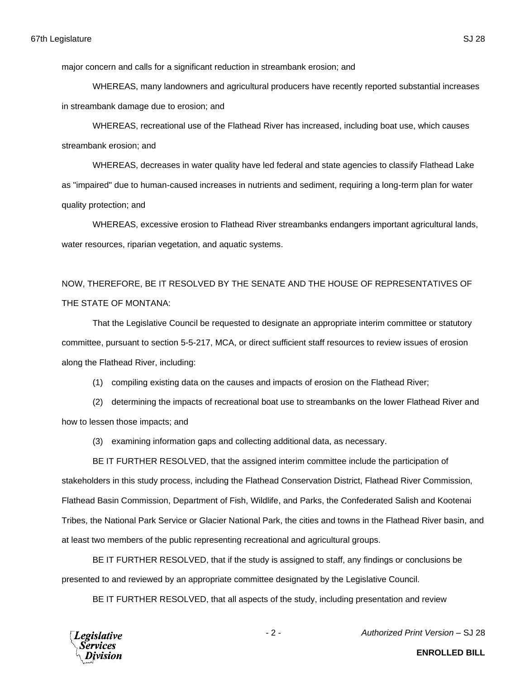major concern and calls for a significant reduction in streambank erosion; and

WHEREAS, many landowners and agricultural producers have recently reported substantial increases in streambank damage due to erosion; and

WHEREAS, recreational use of the Flathead River has increased, including boat use, which causes streambank erosion; and

WHEREAS, decreases in water quality have led federal and state agencies to classify Flathead Lake as "impaired" due to human-caused increases in nutrients and sediment, requiring a long-term plan for water quality protection; and

WHEREAS, excessive erosion to Flathead River streambanks endangers important agricultural lands, water resources, riparian vegetation, and aquatic systems.

## NOW, THEREFORE, BE IT RESOLVED BY THE SENATE AND THE HOUSE OF REPRESENTATIVES OF THE STATE OF MONTANA:

That the Legislative Council be requested to designate an appropriate interim committee or statutory committee, pursuant to section 5-5-217, MCA, or direct sufficient staff resources to review issues of erosion along the Flathead River, including:

(1) compiling existing data on the causes and impacts of erosion on the Flathead River;

(2) determining the impacts of recreational boat use to streambanks on the lower Flathead River and how to lessen those impacts; and

(3) examining information gaps and collecting additional data, as necessary.

BE IT FURTHER RESOLVED, that the assigned interim committee include the participation of stakeholders in this study process, including the Flathead Conservation District, Flathead River Commission, Flathead Basin Commission, Department of Fish, Wildlife, and Parks, the Confederated Salish and Kootenai Tribes, the National Park Service or Glacier National Park, the cities and towns in the Flathead River basin, and at least two members of the public representing recreational and agricultural groups.

BE IT FURTHER RESOLVED, that if the study is assigned to staff, any findings or conclusions be presented to and reviewed by an appropriate committee designated by the Legislative Council.

BE IT FURTHER RESOLVED, that all aspects of the study, including presentation and review

**Legislative** *Services* Division

- 2 - *Authorized Print Version* – SJ 28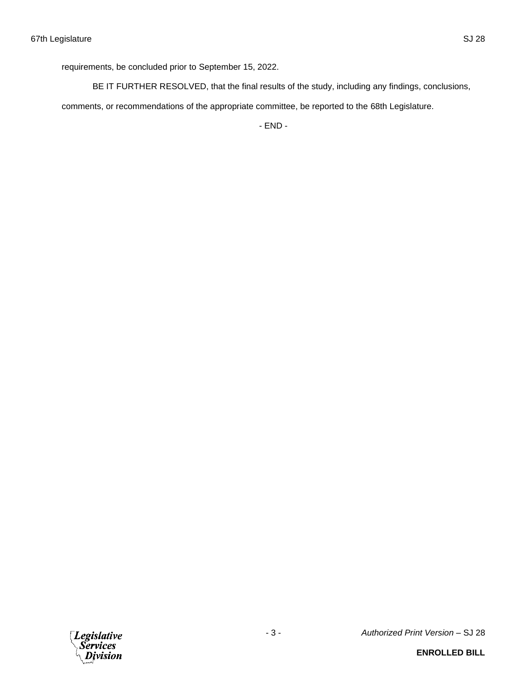requirements, be concluded prior to September 15, 2022.

BE IT FURTHER RESOLVED, that the final results of the study, including any findings, conclusions,

comments, or recommendations of the appropriate committee, be reported to the 68th Legislature.

- END -

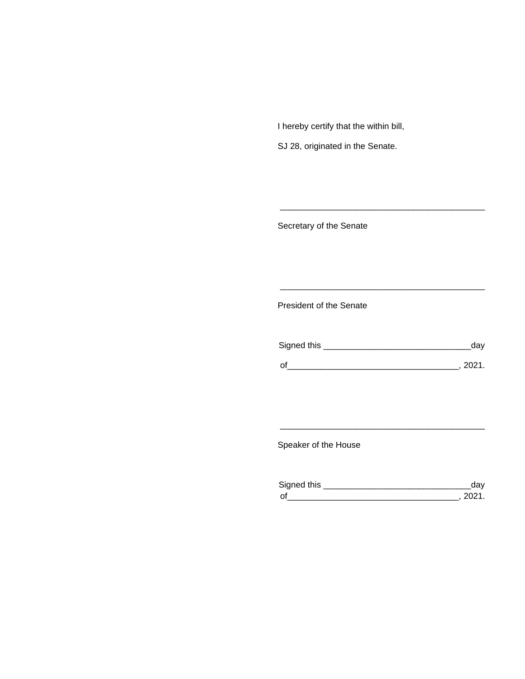I hereby certify that the within bill,

SJ 28, originated in the Senate.

Secretary of the Senate

President of the Senate

| Signed this | dav  |
|-------------|------|
|             |      |
| O,          | 2021 |

\_\_\_\_\_\_\_\_\_\_\_\_\_\_\_\_\_\_\_\_\_\_\_\_\_\_\_\_\_\_\_\_\_\_\_\_\_\_\_\_\_\_\_

\_\_\_\_\_\_\_\_\_\_\_\_\_\_\_\_\_\_\_\_\_\_\_\_\_\_\_\_\_\_\_\_\_\_\_\_\_\_\_\_\_\_\_

Speaker of the House

| Sianed this |  |
|-------------|--|
| $\Omega$    |  |

\_\_\_\_\_\_\_\_\_\_\_\_\_\_\_\_\_\_\_\_\_\_\_\_\_\_\_\_\_\_\_\_\_\_\_\_\_\_\_\_\_\_\_